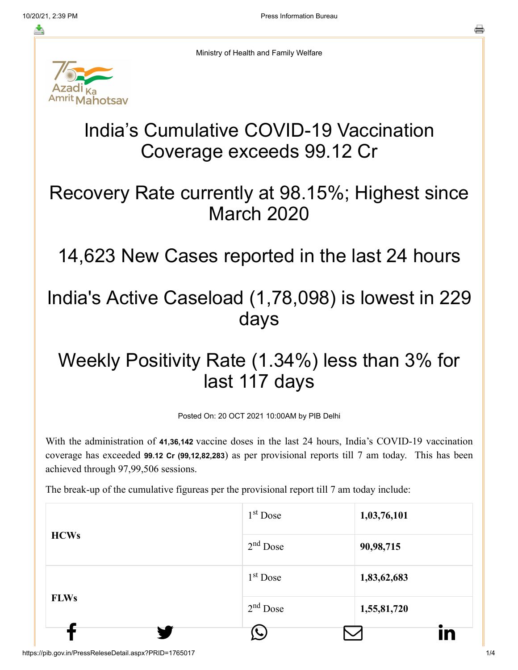Ministry of Health and Family Welfare



# India's Cumulative COVID-19 Vaccination Coverage exceeds 99.12 Cr

## Recovery Rate currently at 98.15%; Highest since March 2020

14,623 New Cases reported in the last 24 hours

## India's Active Caseload (1,78,098) is lowest in 229 days

# Weekly Positivity Rate (1.34%) less than 3% for last 117 days

Posted On: 20 OCT 2021 10:00AM by PIB Delhi

With the administration of **41,36,142** vaccine doses in the last 24 hours, India's COVID-19 vaccination coverage has exceeded **99.12 Cr (99,12,82,283**) as per provisional reports till 7 am today. This has been achieved through 97,99,506 sessions.

The break-up of the cumulative figureas per the provisional report till 7 am today include:

|             | $1st$ Dose | 1,03,76,101 |
|-------------|------------|-------------|
| <b>HCWs</b> | $2nd$ Dose | 90,98,715   |
|             | $1st$ Dose | 1,83,62,683 |
| <b>FLWs</b> | $2nd$ Dose | 1,55,81,720 |
|             |            | in          |

https://pib.gov.in/PressReleseDetail.aspx?PRID=1765017 1/4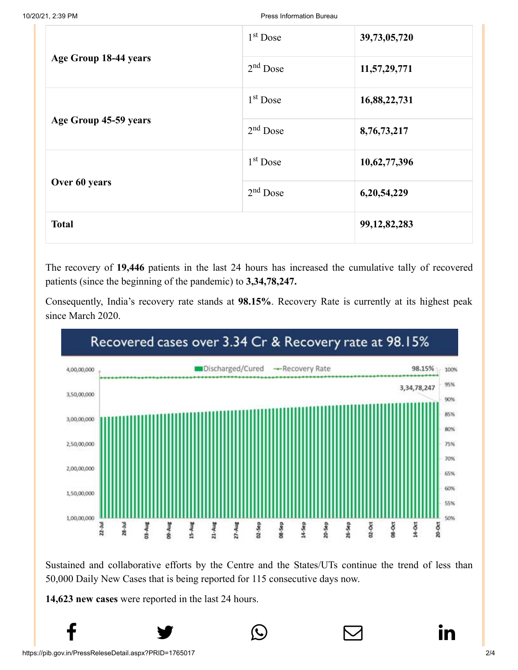|                       | 1 <sup>st</sup> Dose | 39,73,05,720    |
|-----------------------|----------------------|-----------------|
| Age Group 18-44 years | $2nd$ Dose           | 11,57,29,771    |
|                       | 1 <sup>st</sup> Dose | 16,88,22,731    |
| Age Group 45-59 years | $2nd$ Dose           | 8,76,73,217     |
|                       | 1 <sup>st</sup> Dose | 10,62,77,396    |
| Over 60 years         | $2nd$ Dose           | 6,20,54,229     |
| <b>Total</b>          |                      | 99, 12, 82, 283 |

The recovery of **19,446** patients in the last 24 hours has increased the cumulative tally of recovered patients (since the beginning of the pandemic) to **3,34,78,247.**

Consequently, India's recovery rate stands at **98.15%**. Recovery Rate is currently at its highest peak since March 2020.



Sustained and collaborative efforts by the Centre and the States/UTs continue the trend of less than 50,000 Daily New Cases that is being reported for 115 consecutive days now.

 $f$  y  $\circledcirc$   $\quad \circ$  in

**14,623 new cases** were reported in the last 24 hours.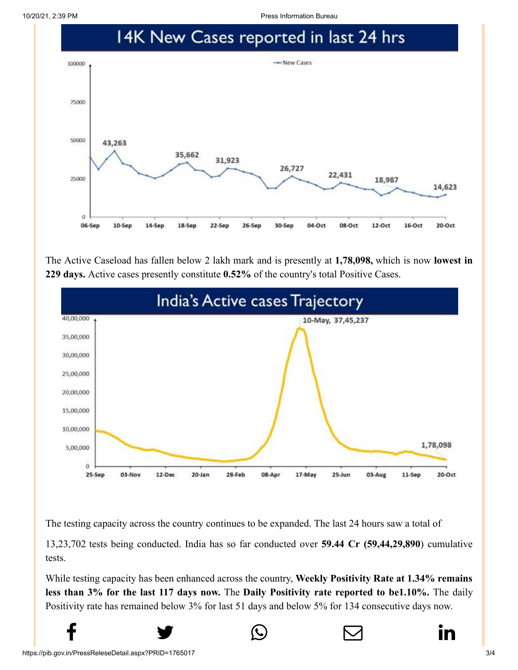10/20/21, 2:39 PM Press Information Bureau



The Active Caseload has fallen below 2 lakh mark and is presently at **1,78,098,** which is now **lowest in 229 days.** Active cases presently constitute **0.52%** of the country's total Positive Cases.



The testing capacity across the country continues to be expanded. The last 24 hours saw a total of

13,23,702 tests being conducted. India has so far conducted over **59.44 Cr (59,44,29,890**) cumulative tests.

While testing capacity has been enhanced across the country, **Weekly Positivity Rate at 1.34% remains less than 3% for the last 117 days now.** The **Daily Positivity rate reported to be1.10%.** The daily Positivity rate has remained below 3% for last 51 days and below 5% for 134 consecutive days now.

 $f$  y  $\circledcirc$   $\quad \circ$  in